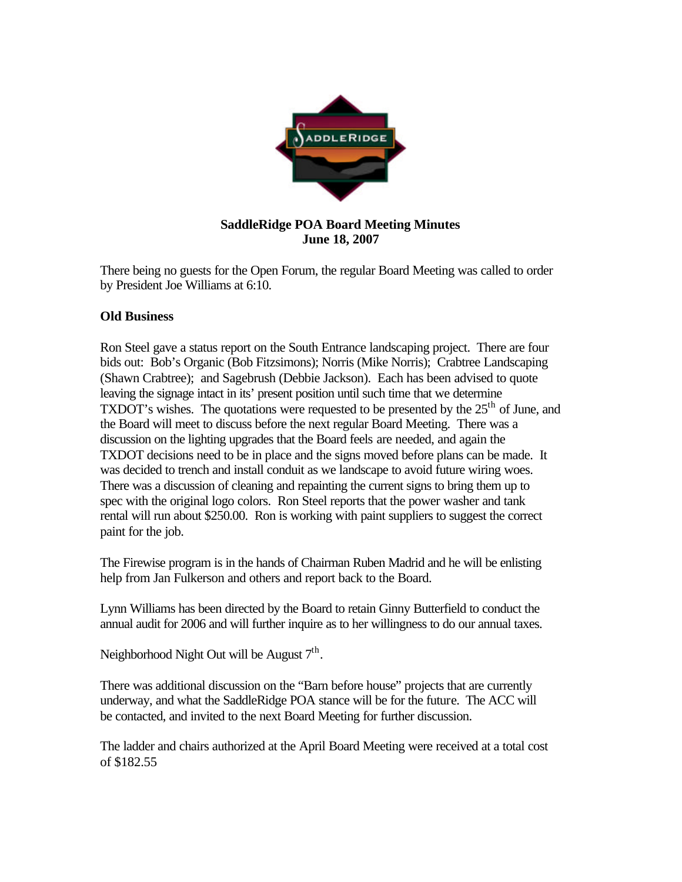

## **SaddleRidge POA Board Meeting Minutes June 18, 2007**

There being no guests for the Open Forum, the regular Board Meeting was called to order by President Joe Williams at 6:10.

## **Old Business**

Ron Steel gave a status report on the South Entrance landscaping project. There are four bids out: Bob's Organic (Bob Fitzsimons); Norris (Mike Norris); Crabtree Landscaping (Shawn Crabtree); and Sagebrush (Debbie Jackson). Each has been advised to quote leaving the signage intact in its' present position until such time that we determine TXDOT's wishes. The quotations were requested to be presented by the  $25<sup>th</sup>$  of June, and the Board will meet to discuss before the next regular Board Meeting. There was a discussion on the lighting upgrades that the Board feels are needed, and again the TXDOT decisions need to be in place and the signs moved before plans can be made. It was decided to trench and install conduit as we landscape to avoid future wiring woes. There was a discussion of cleaning and repainting the current signs to bring them up to spec with the original logo colors. Ron Steel reports that the power washer and tank rental will run about \$250.00. Ron is working with paint suppliers to suggest the correct paint for the job.

The Firewise program is in the hands of Chairman Ruben Madrid and he will be enlisting help from Jan Fulkerson and others and report back to the Board.

Lynn Williams has been directed by the Board to retain Ginny Butterfield to conduct the annual audit for 2006 and will further inquire as to her willingness to do our annual taxes.

Neighborhood Night Out will be August  $7<sup>th</sup>$ .

There was additional discussion on the "Barn before house" projects that are currently underway, and what the SaddleRidge POA stance will be for the future. The ACC will be contacted, and invited to the next Board Meeting for further discussion.

The ladder and chairs authorized at the April Board Meeting were received at a total cost of \$182.55